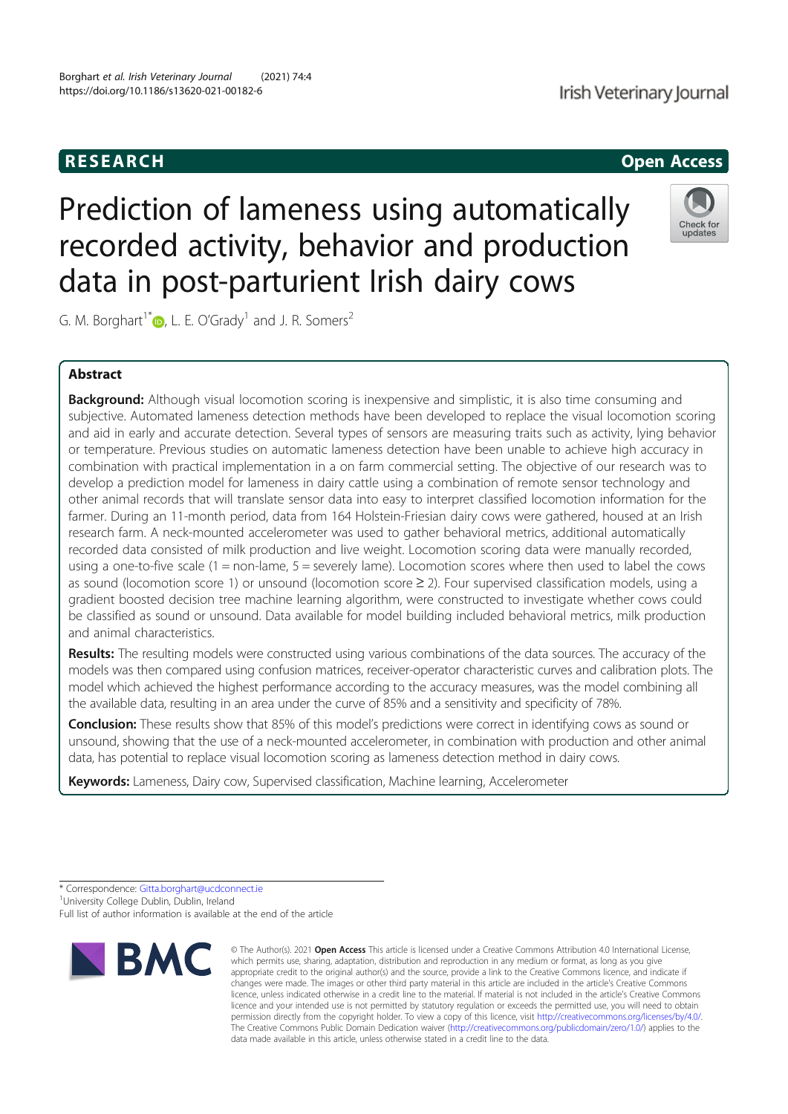RESEARCH **CHINESEAR CHINESEAR CHINESEAR CHINESE** 

# Prediction of lameness using automatically recorded activity, behavior and production data in post-parturient Irish dairy cows

G. M. Borghart<sup>1\*</sup>  $\bullet$ , L. E. O'Grady<sup>1</sup> and J. R. Somers<sup>2</sup>

## Abstract

Background: Although visual locomotion scoring is inexpensive and simplistic, it is also time consuming and subjective. Automated lameness detection methods have been developed to replace the visual locomotion scoring and aid in early and accurate detection. Several types of sensors are measuring traits such as activity, lying behavior or temperature. Previous studies on automatic lameness detection have been unable to achieve high accuracy in combination with practical implementation in a on farm commercial setting. The objective of our research was to develop a prediction model for lameness in dairy cattle using a combination of remote sensor technology and other animal records that will translate sensor data into easy to interpret classified locomotion information for the farmer. During an 11-month period, data from 164 Holstein-Friesian dairy cows were gathered, housed at an Irish research farm. A neck-mounted accelerometer was used to gather behavioral metrics, additional automatically recorded data consisted of milk production and live weight. Locomotion scoring data were manually recorded, using a one-to-five scale (1 = non-lame, 5 = severely lame). Locomotion scores where then used to label the cows as sound (locomotion score 1) or unsound (locomotion score ≥ 2). Four supervised classification models, using a gradient boosted decision tree machine learning algorithm, were constructed to investigate whether cows could be classified as sound or unsound. Data available for model building included behavioral metrics, milk production and animal characteristics.

Results: The resulting models were constructed using various combinations of the data sources. The accuracy of the models was then compared using confusion matrices, receiver-operator characteristic curves and calibration plots. The model which achieved the highest performance according to the accuracy measures, was the model combining all the available data, resulting in an area under the curve of 85% and a sensitivity and specificity of 78%.

**Conclusion:** These results show that 85% of this model's predictions were correct in identifying cows as sound or unsound, showing that the use of a neck-mounted accelerometer, in combination with production and other animal data, has potential to replace visual locomotion scoring as lameness detection method in dairy cows.

Keywords: Lameness, Dairy cow, Supervised classification, Machine learning, Accelerometer

<sup>1</sup> University College Dublin, Dublin, Ireland

Full list of author information is available at the end of the article



© The Author(s). 2021 Open Access This article is licensed under a Creative Commons Attribution 4.0 International License,



update:<br>update:

<sup>\*</sup> Correspondence: Gitta.borghart@ucdconnect.ie <sup>1</sup>

which permits use, sharing, adaptation, distribution and reproduction in any medium or format, as long as you give appropriate credit to the original author(s) and the source, provide a link to the Creative Commons licence, and indicate if changes were made. The images or other third party material in this article are included in the article's Creative Commons licence, unless indicated otherwise in a credit line to the material. If material is not included in the article's Creative Commons licence and your intended use is not permitted by statutory regulation or exceeds the permitted use, you will need to obtain permission directly from the copyright holder. To view a copy of this licence, visit http://creativecommons.org/licenses/by/4.0/. The Creative Commons Public Domain Dedication waiver (http://creativecommons.org/publicdomain/zero/1.0/) applies to the data made available in this article, unless otherwise stated in a credit line to the data.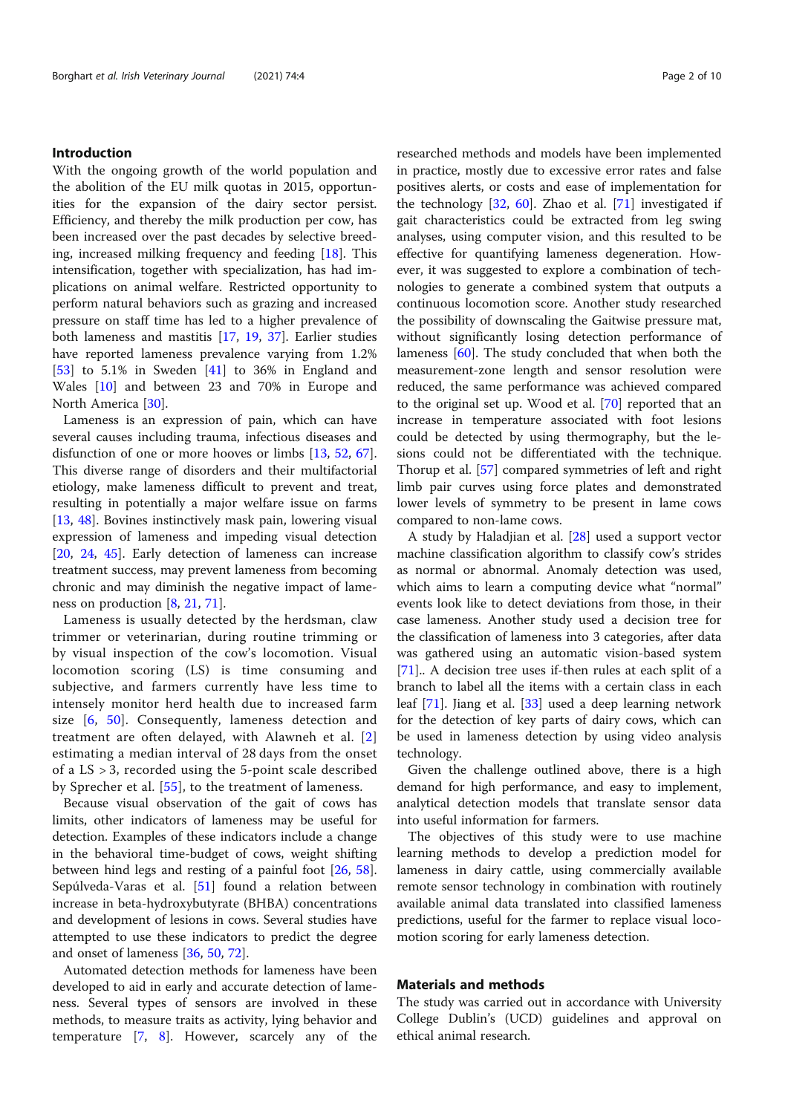## Introduction

With the ongoing growth of the world population and the abolition of the EU milk quotas in 2015, opportunities for the expansion of the dairy sector persist. Efficiency, and thereby the milk production per cow, has been increased over the past decades by selective breeding, increased milking frequency and feeding [18]. This intensification, together with specialization, has had implications on animal welfare. Restricted opportunity to perform natural behaviors such as grazing and increased pressure on staff time has led to a higher prevalence of both lameness and mastitis [17, 19, 37]. Earlier studies have reported lameness prevalence varying from 1.2% [53] to 5.1% in Sweden [41] to 36% in England and Wales [10] and between 23 and 70% in Europe and North America [30].

Lameness is an expression of pain, which can have several causes including trauma, infectious diseases and disfunction of one or more hooves or limbs [13, 52, 67]. This diverse range of disorders and their multifactorial etiology, make lameness difficult to prevent and treat, resulting in potentially a major welfare issue on farms [13, 48]. Bovines instinctively mask pain, lowering visual expression of lameness and impeding visual detection [20, 24, 45]. Early detection of lameness can increase treatment success, may prevent lameness from becoming chronic and may diminish the negative impact of lameness on production [8, 21, 71].

Lameness is usually detected by the herdsman, claw trimmer or veterinarian, during routine trimming or by visual inspection of the cow's locomotion. Visual locomotion scoring (LS) is time consuming and subjective, and farmers currently have less time to intensely monitor herd health due to increased farm size [6, 50]. Consequently, lameness detection and treatment are often delayed, with Alawneh et al. [2] estimating a median interval of 28 days from the onset of a LS > 3, recorded using the 5-point scale described by Sprecher et al. [55], to the treatment of lameness.

Because visual observation of the gait of cows has limits, other indicators of lameness may be useful for detection. Examples of these indicators include a change in the behavioral time-budget of cows, weight shifting between hind legs and resting of a painful foot [26, 58]. Sepúlveda-Varas et al. [51] found a relation between increase in beta-hydroxybutyrate (BHBA) concentrations and development of lesions in cows. Several studies have attempted to use these indicators to predict the degree and onset of lameness [36, 50, 72].

Automated detection methods for lameness have been developed to aid in early and accurate detection of lameness. Several types of sensors are involved in these methods, to measure traits as activity, lying behavior and temperature [7, 8]. However, scarcely any of the researched methods and models have been implemented in practice, mostly due to excessive error rates and false positives alerts, or costs and ease of implementation for the technology [32, 60]. Zhao et al. [71] investigated if gait characteristics could be extracted from leg swing analyses, using computer vision, and this resulted to be effective for quantifying lameness degeneration. However, it was suggested to explore a combination of technologies to generate a combined system that outputs a continuous locomotion score. Another study researched the possibility of downscaling the Gaitwise pressure mat, without significantly losing detection performance of lameness [60]. The study concluded that when both the measurement-zone length and sensor resolution were reduced, the same performance was achieved compared to the original set up. Wood et al. [70] reported that an increase in temperature associated with foot lesions could be detected by using thermography, but the lesions could not be differentiated with the technique. Thorup et al. [57] compared symmetries of left and right limb pair curves using force plates and demonstrated lower levels of symmetry to be present in lame cows compared to non-lame cows.

A study by Haladjian et al. [28] used a support vector machine classification algorithm to classify cow's strides as normal or abnormal. Anomaly detection was used, which aims to learn a computing device what "normal" events look like to detect deviations from those, in their case lameness. Another study used a decision tree for the classification of lameness into 3 categories, after data was gathered using an automatic vision-based system [71].. A decision tree uses if-then rules at each split of a branch to label all the items with a certain class in each leaf [71]. Jiang et al. [33] used a deep learning network for the detection of key parts of dairy cows, which can be used in lameness detection by using video analysis technology.

Given the challenge outlined above, there is a high demand for high performance, and easy to implement, analytical detection models that translate sensor data into useful information for farmers.

The objectives of this study were to use machine learning methods to develop a prediction model for lameness in dairy cattle, using commercially available remote sensor technology in combination with routinely available animal data translated into classified lameness predictions, useful for the farmer to replace visual locomotion scoring for early lameness detection.

## Materials and methods

The study was carried out in accordance with University College Dublin's (UCD) guidelines and approval on ethical animal research.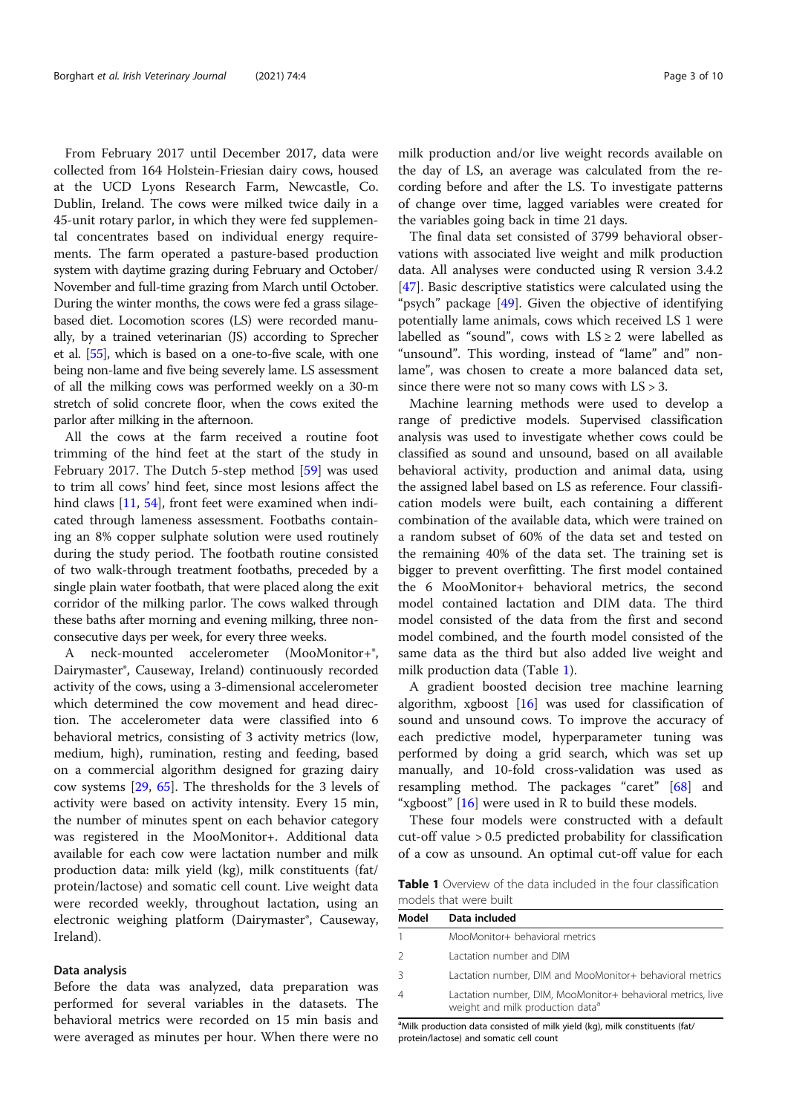From February 2017 until December 2017, data were collected from 164 Holstein-Friesian dairy cows, housed at the UCD Lyons Research Farm, Newcastle, Co. Dublin, Ireland. The cows were milked twice daily in a 45-unit rotary parlor, in which they were fed supplemental concentrates based on individual energy requirements. The farm operated a pasture-based production system with daytime grazing during February and October/ November and full-time grazing from March until October. During the winter months, the cows were fed a grass silagebased diet. Locomotion scores (LS) were recorded manually, by a trained veterinarian (JS) according to Sprecher et al. [55], which is based on a one-to-five scale, with one being non-lame and five being severely lame. LS assessment of all the milking cows was performed weekly on a 30-m stretch of solid concrete floor, when the cows exited the parlor after milking in the afternoon.

All the cows at the farm received a routine foot trimming of the hind feet at the start of the study in February 2017. The Dutch 5-step method [59] was used to trim all cows' hind feet, since most lesions affect the hind claws [11, 54], front feet were examined when indicated through lameness assessment. Footbaths containing an 8% copper sulphate solution were used routinely during the study period. The footbath routine consisted of two walk-through treatment footbaths, preceded by a single plain water footbath, that were placed along the exit corridor of the milking parlor. The cows walked through these baths after morning and evening milking, three nonconsecutive days per week, for every three weeks.

A neck-mounted accelerometer (MooMonitor+®, Dairymaster®, Causeway, Ireland) continuously recorded activity of the cows, using a 3-dimensional accelerometer which determined the cow movement and head direction. The accelerometer data were classified into 6 behavioral metrics, consisting of 3 activity metrics (low, medium, high), rumination, resting and feeding, based on a commercial algorithm designed for grazing dairy cow systems [29, 65]. The thresholds for the 3 levels of activity were based on activity intensity. Every 15 min, the number of minutes spent on each behavior category was registered in the MooMonitor+. Additional data available for each cow were lactation number and milk production data: milk yield (kg), milk constituents (fat/ protein/lactose) and somatic cell count. Live weight data were recorded weekly, throughout lactation, using an electronic weighing platform (Dairymaster®, Causeway, Ireland).

### Data analysis

Before the data was analyzed, data preparation was performed for several variables in the datasets. The behavioral metrics were recorded on 15 min basis and were averaged as minutes per hour. When there were no milk production and/or live weight records available on the day of LS, an average was calculated from the recording before and after the LS. To investigate patterns of change over time, lagged variables were created for the variables going back in time 21 days.

The final data set consisted of 3799 behavioral observations with associated live weight and milk production data. All analyses were conducted using R version 3.4.2 [47]. Basic descriptive statistics were calculated using the "psych" package [49]. Given the objective of identifying potentially lame animals, cows which received LS 1 were labelled as "sound", cows with  $LS \geq 2$  were labelled as "unsound". This wording, instead of "lame" and" nonlame", was chosen to create a more balanced data set, since there were not so many cows with  $LS > 3$ .

Machine learning methods were used to develop a range of predictive models. Supervised classification analysis was used to investigate whether cows could be classified as sound and unsound, based on all available behavioral activity, production and animal data, using the assigned label based on LS as reference. Four classification models were built, each containing a different combination of the available data, which were trained on a random subset of 60% of the data set and tested on the remaining 40% of the data set. The training set is bigger to prevent overfitting. The first model contained the 6 MooMonitor+ behavioral metrics, the second model contained lactation and DIM data. The third model consisted of the data from the first and second model combined, and the fourth model consisted of the same data as the third but also added live weight and milk production data (Table 1).

A gradient boosted decision tree machine learning algorithm, xgboost [16] was used for classification of sound and unsound cows. To improve the accuracy of each predictive model, hyperparameter tuning was performed by doing a grid search, which was set up manually, and 10-fold cross-validation was used as resampling method. The packages "caret" [68] and "xgboost" [16] were used in R to build these models.

These four models were constructed with a default cut-off value > 0.5 predicted probability for classification of a cow as unsound. An optimal cut-off value for each

Table 1 Overview of the data included in the four classification models that were built

| Model | Data included                                                                                               |
|-------|-------------------------------------------------------------------------------------------------------------|
|       | MooMonitor+ behavioral metrics                                                                              |
| 2     | Lactation number and DIM                                                                                    |
| 3     | Lactation number, DIM and MooMonitor+ behavioral metrics                                                    |
|       | Lactation number, DIM, MooMonitor+ behavioral metrics, live<br>weight and milk production data <sup>a</sup> |

<sup>a</sup>Milk production data consisted of milk yield (kg), milk constituents (fat/ protein/lactose) and somatic cell count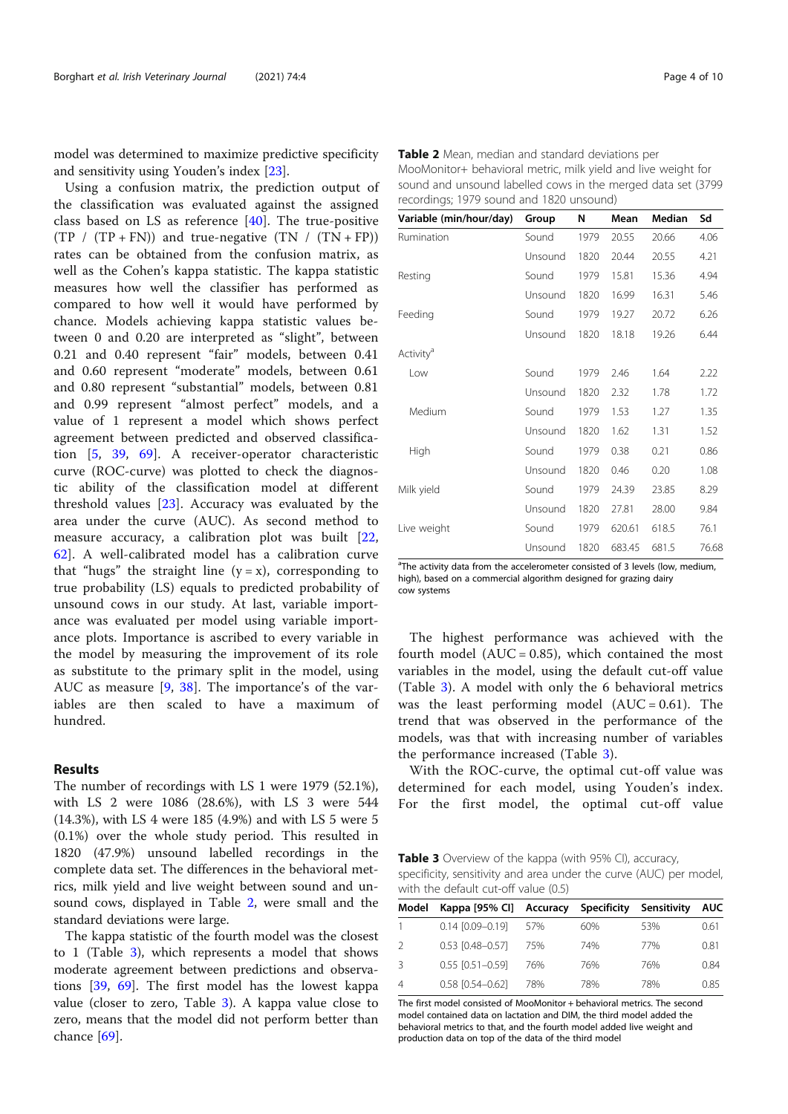model was determined to maximize predictive specificity and sensitivity using Youden's index [23].

Using a confusion matrix, the prediction output of the classification was evaluated against the assigned class based on LS as reference [40]. The true-positive  $(TP / (TP + FN))$  and true-negative  $(TN / (TN + FP))$ rates can be obtained from the confusion matrix, as well as the Cohen's kappa statistic. The kappa statistic measures how well the classifier has performed as compared to how well it would have performed by chance. Models achieving kappa statistic values between 0 and 0.20 are interpreted as "slight", between 0.21 and 0.40 represent "fair" models, between 0.41 and 0.60 represent "moderate" models, between 0.61 and 0.80 represent "substantial" models, between 0.81 and 0.99 represent "almost perfect" models, and a value of 1 represent a model which shows perfect agreement between predicted and observed classification [5, 39, 69]. A receiver-operator characteristic curve (ROC-curve) was plotted to check the diagnostic ability of the classification model at different threshold values [23]. Accuracy was evaluated by the area under the curve (AUC). As second method to measure accuracy, a calibration plot was built [22, 62]. A well-calibrated model has a calibration curve that "hugs" the straight line  $(y = x)$ , corresponding to true probability (LS) equals to predicted probability of unsound cows in our study. At last, variable importance was evaluated per model using variable importance plots. Importance is ascribed to every variable in the model by measuring the improvement of its role as substitute to the primary split in the model, using AUC as measure [9, 38]. The importance's of the variables are then scaled to have a maximum of hundred.

## Results

The number of recordings with LS 1 were 1979 (52.1%), with LS 2 were 1086 (28.6%), with LS 3 were 544 (14.3%), with LS 4 were 185 (4.9%) and with LS 5 were 5 (0.1%) over the whole study period. This resulted in 1820 (47.9%) unsound labelled recordings in the complete data set. The differences in the behavioral metrics, milk yield and live weight between sound and unsound cows, displayed in Table 2, were small and the standard deviations were large.

The kappa statistic of the fourth model was the closest to 1 (Table 3), which represents a model that shows moderate agreement between predictions and observations [39, 69]. The first model has the lowest kappa value (closer to zero, Table 3). A kappa value close to zero, means that the model did not perform better than chance [69].

Table 2 Mean, median and standard deviations per MooMonitor+ behavioral metric, milk yield and live weight for sound and unsound labelled cows in the merged data set (3799 recordings; 1979 sound and 1820 unsound)

| Variable (min/hour/day) | Group   | N    | Mean   | Median | Sd    |
|-------------------------|---------|------|--------|--------|-------|
| Rumination              | Sound   | 1979 | 20.55  | 20.66  | 4.06  |
|                         | Unsound | 1820 | 20.44  | 20.55  | 4.21  |
| Resting                 | Sound   | 1979 | 15.81  | 15.36  | 4.94  |
|                         | Unsound | 1820 | 16.99  | 16.31  | 5.46  |
| Feeding                 | Sound   | 1979 | 19.27  | 20.72  | 6.26  |
|                         | Unsound | 1820 | 18.18  | 19.26  | 6.44  |
| Activity <sup>a</sup>   |         |      |        |        |       |
| Low                     | Sound   | 1979 | 2.46   | 1.64   | 2.22  |
|                         | Unsound | 1820 | 2.32   | 1.78   | 1.72  |
| Medium                  | Sound   | 1979 | 1.53   | 1.27   | 1.35  |
|                         | Unsound | 1820 | 1.62   | 1.31   | 1.52  |
| High                    | Sound   | 1979 | 0.38   | 0.21   | 0.86  |
|                         | Unsound | 1820 | 0.46   | 0.20   | 1.08  |
| Milk yield              | Sound   | 1979 | 24.39  | 23.85  | 8.29  |
|                         | Unsound | 1820 | 27.81  | 28.00  | 9.84  |
| Live weight             | Sound   | 1979 | 620.61 | 618.5  | 76.1  |
|                         | Unsound | 1820 | 683.45 | 681.5  | 76.68 |

<sup>a</sup>The activity data from the accelerometer consisted of 3 levels (low, medium, high), based on a commercial algorithm designed for grazing dairy cow systems

The highest performance was achieved with the fourth model  $(AUC = 0.85)$ , which contained the most variables in the model, using the default cut-off value (Table 3). A model with only the 6 behavioral metrics was the least performing model  $(AUC = 0.61)$ . The trend that was observed in the performance of the models, was that with increasing number of variables the performance increased (Table 3).

With the ROC-curve, the optimal cut-off value was determined for each model, using Youden's index. For the first model, the optimal cut-off value

Table 3 Overview of the kappa (with 95% CI), accuracy, specificity, sensitivity and area under the curve (AUC) per model, with the default cut-off value (0.5)

| Model | Kappa [95% CI] Accuracy Specificity Sensitivity |     |     |     | <b>AUC</b> |
|-------|-------------------------------------------------|-----|-----|-----|------------|
|       | $0.14$ $[0.09 - 0.19]$                          | 57% | 60% | 53% | 0.61       |
|       | $0.53$ $[0.48 - 0.57]$                          | 75% | 74% | 77% | 0.81       |
| Β     | $0.55$ $[0.51 - 0.59]$                          | 76% | 76% | 76% | 0.84       |
| 4     | $0.58$ $[0.54 - 0.62]$                          | 78% | 78% | 78% | 0.85       |

The first model consisted of MooMonitor + behavioral metrics. The second model contained data on lactation and DIM, the third model added the behavioral metrics to that, and the fourth model added live weight and production data on top of the data of the third model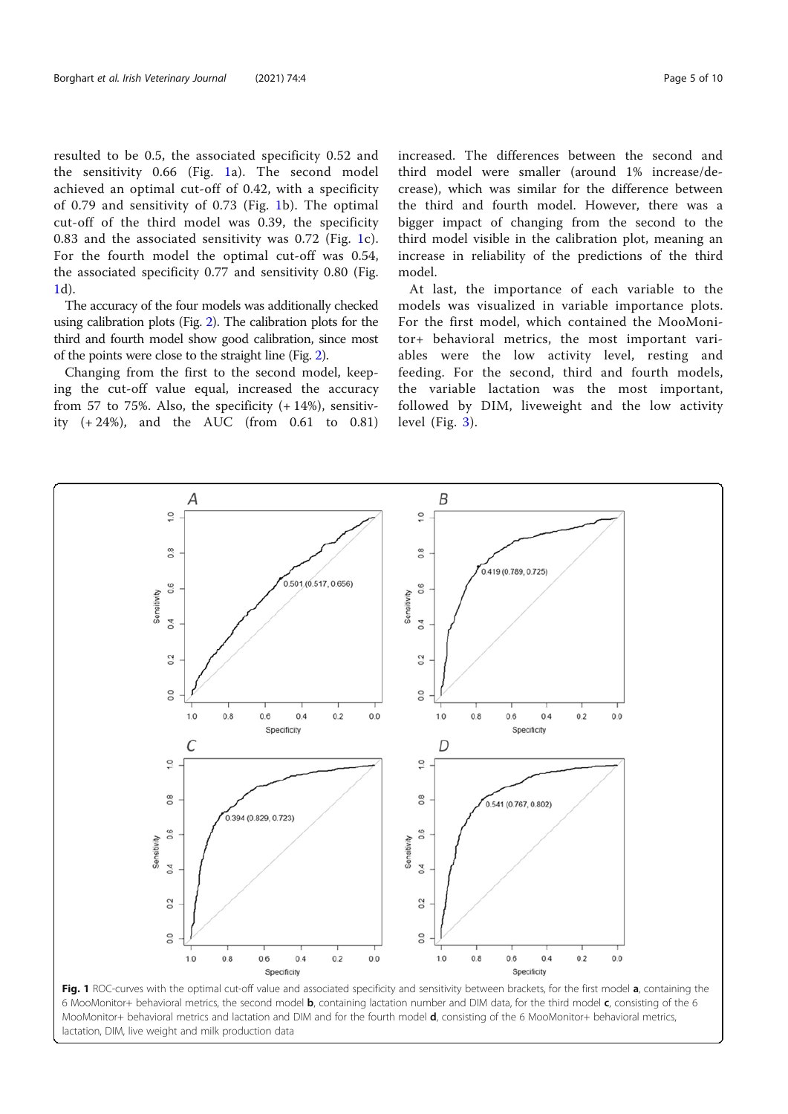resulted to be 0.5, the associated specificity 0.52 and the sensitivity 0.66 (Fig. 1a). The second model achieved an optimal cut-off of 0.42, with a specificity of 0.79 and sensitivity of 0.73 (Fig. 1b). The optimal cut-off of the third model was 0.39, the specificity 0.83 and the associated sensitivity was 0.72 (Fig. 1c). For the fourth model the optimal cut-off was 0.54, the associated specificity 0.77 and sensitivity 0.80 (Fig. 1d).

The accuracy of the four models was additionally checked using calibration plots (Fig. 2). The calibration plots for the third and fourth model show good calibration, since most of the points were close to the straight line (Fig. 2).

Changing from the first to the second model, keeping the cut-off value equal, increased the accuracy from 57 to 75%. Also, the specificity  $(+14%)$ , sensitivity (+ 24%), and the AUC (from 0.61 to 0.81) increased. The differences between the second and third model were smaller (around 1% increase/decrease), which was similar for the difference between the third and fourth model. However, there was a bigger impact of changing from the second to the third model visible in the calibration plot, meaning an increase in reliability of the predictions of the third model.

At last, the importance of each variable to the models was visualized in variable importance plots. For the first model, which contained the MooMonitor+ behavioral metrics, the most important variables were the low activity level, resting and feeding. For the second, third and fourth models, the variable lactation was the most important, followed by DIM, liveweight and the low activity level (Fig. 3).



Fig. 1 ROC-curves with the optimal cut-off value and associated specificity and sensitivity between brackets, for the first model a, containing the 6 MooMonitor+ behavioral metrics, the second model b, containing lactation number and DIM data, for the third model c, consisting of the 6 MooMonitor+ behavioral metrics and lactation and DIM and for the fourth model **d**, consisting of the 6 MooMonitor+ behavioral metrics, lactation, DIM, live weight and milk production data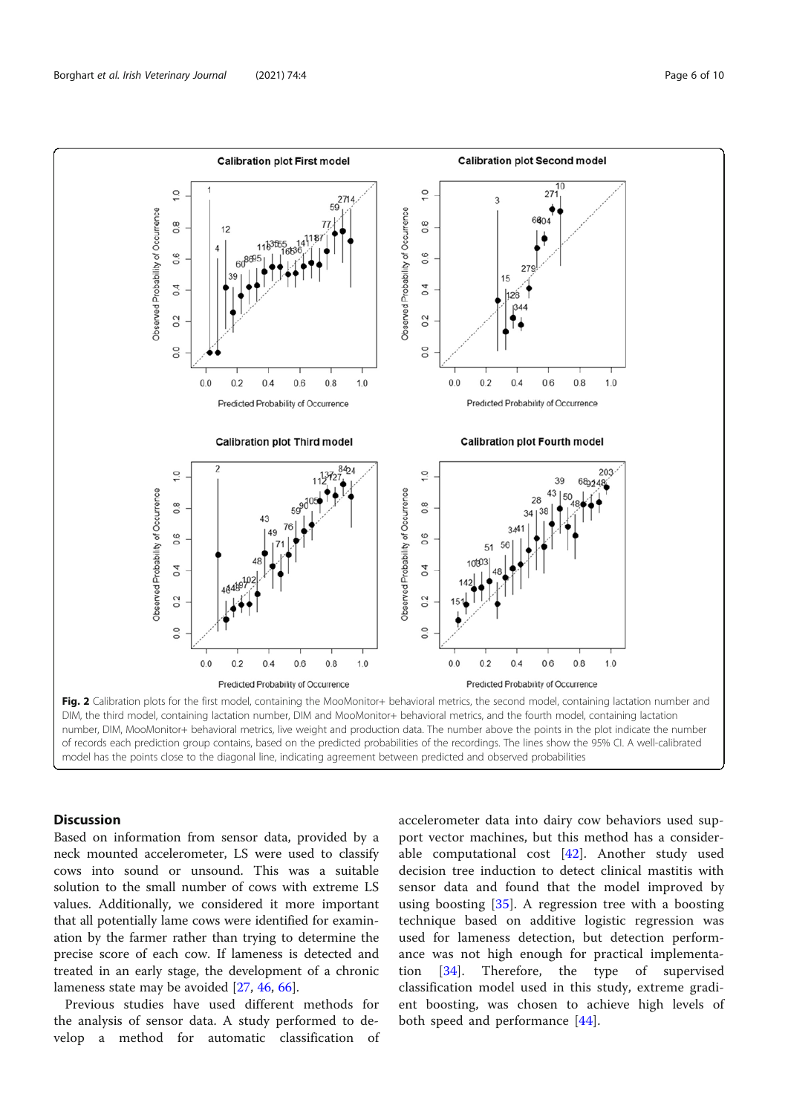

DIM, the third model, containing lactation number, DIM and MooMonitor+ behavioral metrics, and the fourth model, containing lactation number, DIM, MooMonitor+ behavioral metrics, live weight and production data. The number above the points in the plot indicate the number of records each prediction group contains, based on the predicted probabilities of the recordings. The lines show the 95% CI. A well-calibrated model has the points close to the diagonal line, indicating agreement between predicted and observed probabilities

## Discussion

Based on information from sensor data, provided by a neck mounted accelerometer, LS were used to classify cows into sound or unsound. This was a suitable solution to the small number of cows with extreme LS values. Additionally, we considered it more important that all potentially lame cows were identified for examination by the farmer rather than trying to determine the precise score of each cow. If lameness is detected and treated in an early stage, the development of a chronic lameness state may be avoided [27, 46, 66].

Previous studies have used different methods for the analysis of sensor data. A study performed to develop a method for automatic classification of accelerometer data into dairy cow behaviors used support vector machines, but this method has a considerable computational cost  $[42]$ . Another study used decision tree induction to detect clinical mastitis with sensor data and found that the model improved by using boosting [35]. A regression tree with a boosting technique based on additive logistic regression was used for lameness detection, but detection performance was not high enough for practical implementation [34]. Therefore, the type of supervised classification model used in this study, extreme gradient boosting, was chosen to achieve high levels of both speed and performance [44].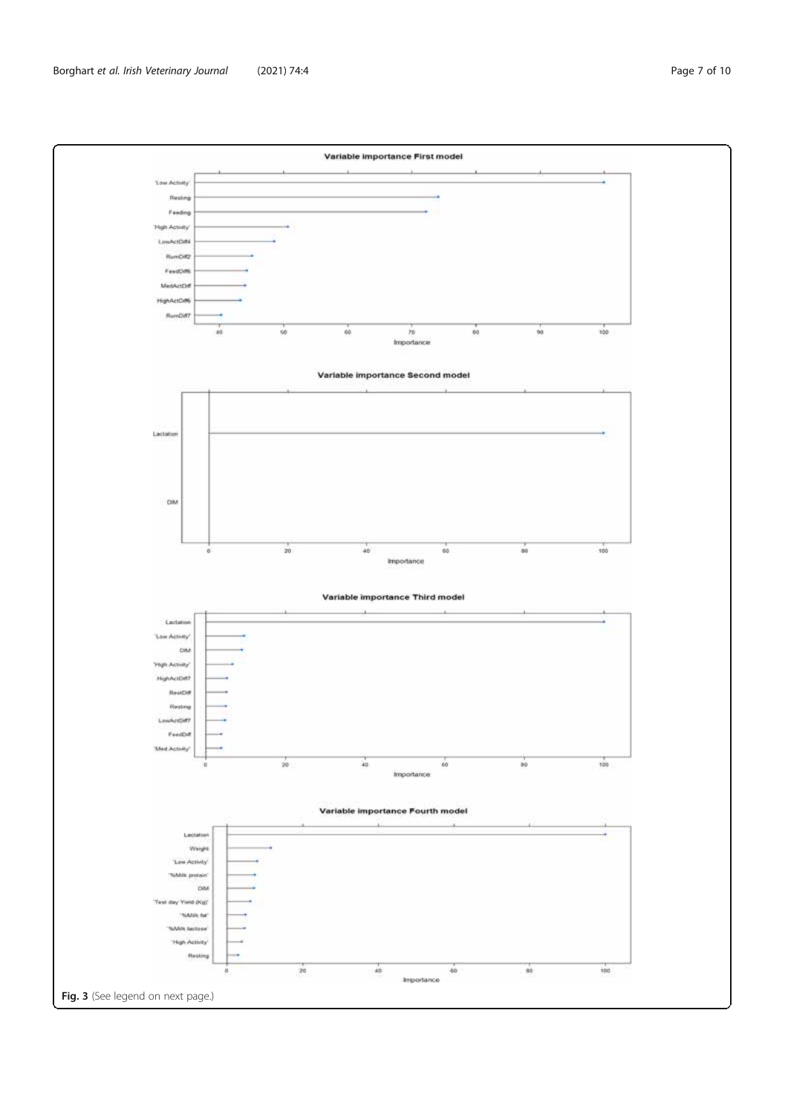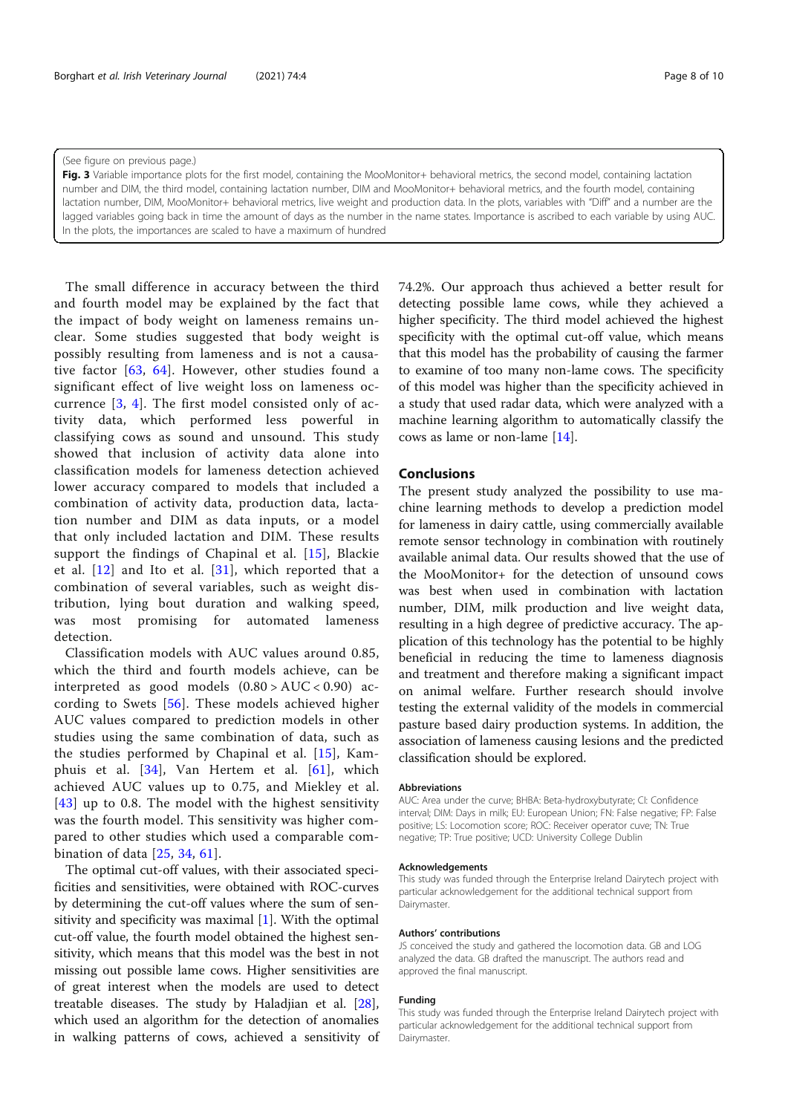(See figure on previous page.)

Fig. 3 Variable importance plots for the first model, containing the MooMonitor+ behavioral metrics, the second model, containing lactation number and DIM, the third model, containing lactation number, DIM and MooMonitor+ behavioral metrics, and the fourth model, containing lactation number, DIM, MooMonitor+ behavioral metrics, live weight and production data. In the plots, variables with "Diff" and a number are the lagged variables going back in time the amount of days as the number in the name states. Importance is ascribed to each variable by using AUC. In the plots, the importances are scaled to have a maximum of hundred

The small difference in accuracy between the third and fourth model may be explained by the fact that the impact of body weight on lameness remains unclear. Some studies suggested that body weight is possibly resulting from lameness and is not a causative factor [63, 64]. However, other studies found a significant effect of live weight loss on lameness occurrence [3, 4]. The first model consisted only of activity data, which performed less powerful in classifying cows as sound and unsound. This study showed that inclusion of activity data alone into classification models for lameness detection achieved lower accuracy compared to models that included a combination of activity data, production data, lactation number and DIM as data inputs, or a model that only included lactation and DIM. These results support the findings of Chapinal et al. [15], Blackie et al.  $[12]$  and Ito et al.  $[31]$ , which reported that a combination of several variables, such as weight distribution, lying bout duration and walking speed, was most promising for automated lameness detection.

Classification models with AUC values around 0.85, which the third and fourth models achieve, can be interpreted as good models  $(0.80 > \text{AUC} < 0.90)$  according to Swets [56]. These models achieved higher AUC values compared to prediction models in other studies using the same combination of data, such as the studies performed by Chapinal et al. [15], Kamphuis et al. [34], Van Hertem et al. [61], which achieved AUC values up to 0.75, and Miekley et al. [43] up to 0.8. The model with the highest sensitivity was the fourth model. This sensitivity was higher compared to other studies which used a comparable combination of data [25, 34, 61].

The optimal cut-off values, with their associated specificities and sensitivities, were obtained with ROC-curves by determining the cut-off values where the sum of sensitivity and specificity was maximal  $[1]$ . With the optimal cut-off value, the fourth model obtained the highest sensitivity, which means that this model was the best in not missing out possible lame cows. Higher sensitivities are of great interest when the models are used to detect treatable diseases. The study by Haladjian et al. [28], which used an algorithm for the detection of anomalies in walking patterns of cows, achieved a sensitivity of 74.2%. Our approach thus achieved a better result for detecting possible lame cows, while they achieved a higher specificity. The third model achieved the highest specificity with the optimal cut-off value, which means that this model has the probability of causing the farmer to examine of too many non-lame cows. The specificity of this model was higher than the specificity achieved in a study that used radar data, which were analyzed with a machine learning algorithm to automatically classify the cows as lame or non-lame [14].

## **Conclusions**

The present study analyzed the possibility to use machine learning methods to develop a prediction model for lameness in dairy cattle, using commercially available remote sensor technology in combination with routinely available animal data. Our results showed that the use of the MooMonitor+ for the detection of unsound cows was best when used in combination with lactation number, DIM, milk production and live weight data, resulting in a high degree of predictive accuracy. The application of this technology has the potential to be highly beneficial in reducing the time to lameness diagnosis and treatment and therefore making a significant impact on animal welfare. Further research should involve testing the external validity of the models in commercial pasture based dairy production systems. In addition, the association of lameness causing lesions and the predicted classification should be explored.

## Abbreviations

AUC: Area under the curve; BHBA: Beta-hydroxybutyrate; CI: Confidence interval; DIM: Days in milk; EU: European Union; FN: False negative; FP: False positive; LS: Locomotion score; ROC: Receiver operator cuve; TN: True negative; TP: True positive; UCD: University College Dublin

#### Acknowledgements

This study was funded through the Enterprise Ireland Dairytech project with particular acknowledgement for the additional technical support from Dairymaster.

#### Authors' contributions

JS conceived the study and gathered the locomotion data. GB and LOG analyzed the data. GB drafted the manuscript. The authors read and approved the final manuscript.

#### Funding

This study was funded through the Enterprise Ireland Dairytech project with particular acknowledgement for the additional technical support from Dairymaster.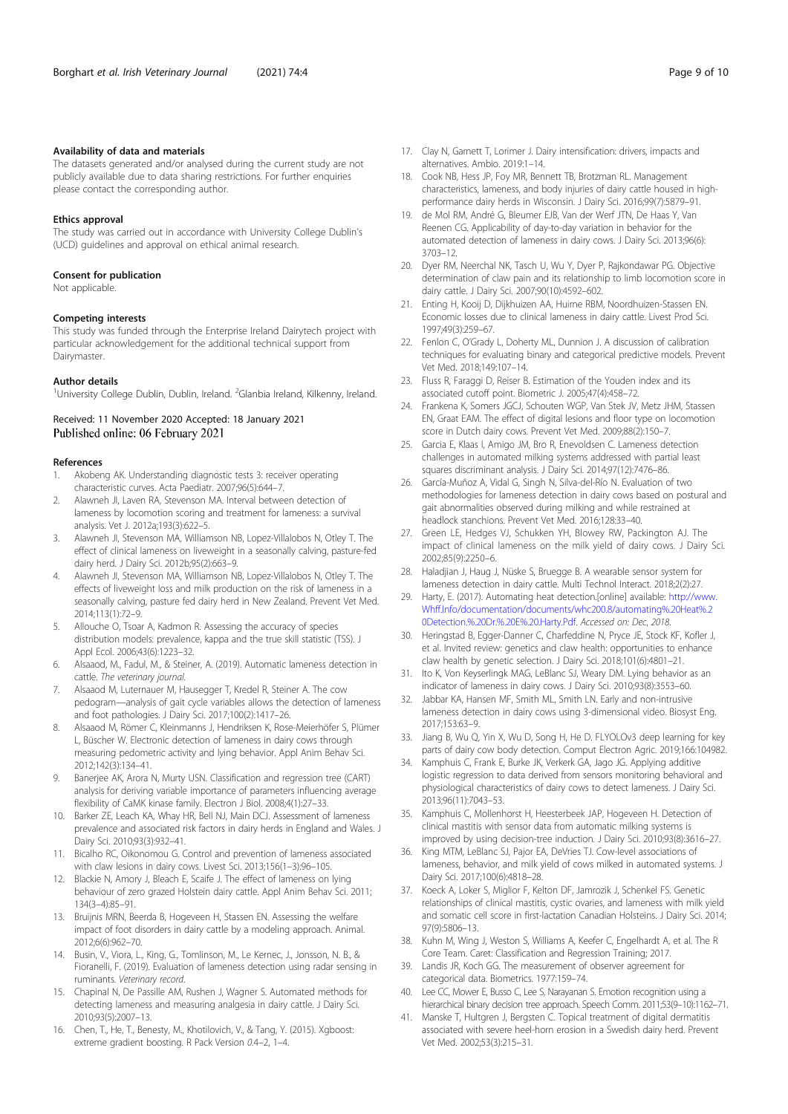#### Availability of data and materials

The datasets generated and/or analysed during the current study are not publicly available due to data sharing restrictions. For further enquiries please contact the corresponding author.

## Ethics approval

The study was carried out in accordance with University College Dublin's (UCD) guidelines and approval on ethical animal research.

#### Consent for publication

Not applicable.

#### Competing interests

This study was funded through the Enterprise Ireland Dairytech project with particular acknowledgement for the additional technical support from Dairymaster.

#### Author details

<sup>1</sup>University College Dublin, Dublin, Ireland. <sup>2</sup>Glanbia Ireland, Kilkenny, Ireland.

Received: 11 November 2020 Accepted: 18 January 2021 Published online: 06 February 2021

#### References

- 1. Akobeng AK. Understanding diagnostic tests 3: receiver operating characteristic curves. Acta Paediatr. 2007;96(5):644–7.
- 2. Alawneh JI, Laven RA, Stevenson MA. Interval between detection of lameness by locomotion scoring and treatment for lameness: a survival analysis. Vet J. 2012a;193(3):622–5.
- 3. Alawneh JI, Stevenson MA, Williamson NB, Lopez-Villalobos N, Otley T. The effect of clinical lameness on liveweight in a seasonally calving, pasture-fed dairy herd. J Dairy Sci. 2012b;95(2):663–9.
- 4. Alawneh JI, Stevenson MA, Williamson NB, Lopez-Villalobos N, Otley T. The effects of liveweight loss and milk production on the risk of lameness in a seasonally calving, pasture fed dairy herd in New Zealand. Prevent Vet Med. 2014;113(1):72–9.
- 5. Allouche O, Tsoar A, Kadmon R. Assessing the accuracy of species distribution models: prevalence, kappa and the true skill statistic (TSS). J Appl Ecol. 2006;43(6):1223–32.
- 6. Alsaaod, M., Fadul, M., & Steiner, A. (2019). Automatic lameness detection in cattle. The veterinary journal.
- Alsaaod M, Luternauer M, Hausegger T, Kredel R, Steiner A. The cow pedogram—analysis of gait cycle variables allows the detection of lameness and foot pathologies. J Dairy Sci. 2017;100(2):1417–26.
- 8. Alsaaod M, Römer C, Kleinmanns J, Hendriksen K, Rose-Meierhöfer S, Plümer L, Büscher W. Electronic detection of lameness in dairy cows through measuring pedometric activity and lying behavior. Appl Anim Behav Sci. 2012;142(3):134–41.
- 9. Banerjee AK, Arora N, Murty USN. Classification and regression tree (CART) analysis for deriving variable importance of parameters influencing average flexibility of CaMK kinase family. Electron J Biol. 2008;4(1):27–33.
- 10. Barker ZE, Leach KA, Whay HR, Bell NJ, Main DCJ. Assessment of lameness prevalence and associated risk factors in dairy herds in England and Wales. J Dairy Sci. 2010;93(3):932–41.
- 11. Bicalho RC, Oikonomou G. Control and prevention of lameness associated with claw lesions in dairy cows. Livest Sci. 2013;156(1–3):96–105.
- 12. Blackie N, Amory J, Bleach E, Scaife J. The effect of lameness on lying behaviour of zero grazed Holstein dairy cattle. Appl Anim Behav Sci. 2011; 134(3–4):85–91.
- 13. Bruijnis MRN, Beerda B, Hogeveen H, Stassen EN. Assessing the welfare impact of foot disorders in dairy cattle by a modeling approach. Animal. 2012;6(6):962–70.
- 14. Busin, V., Viora, L., King, G., Tomlinson, M., Le Kernec, J., Jonsson, N. B., & Fioranelli, F. (2019). Evaluation of lameness detection using radar sensing in ruminants. Veterinary record.
- 15. Chapinal N, De Passille AM, Rushen J, Wagner S. Automated methods for detecting lameness and measuring analgesia in dairy cattle. J Dairy Sci. 2010;93(5):2007–13.
- 16. Chen, T., He, T., Benesty, M., Khotilovich, V., & Tang, Y. (2015). Xgboost: extreme gradient boosting. R Pack Version 0.4–2, 1–4.
- 17. Clay N, Garnett T, Lorimer J. Dairy intensification: drivers, impacts and alternatives. Ambio. 2019:1–14.
- 18. Cook NB, Hess JP, Foy MR, Bennett TB, Brotzman RL. Management characteristics, lameness, and body injuries of dairy cattle housed in highperformance dairy herds in Wisconsin. J Dairy Sci. 2016;99(7):5879–91.
- 19. de Mol RM, André G, Bleumer EJB, Van der Werf JTN, De Haas Y, Van Reenen CG. Applicability of day-to-day variation in behavior for the automated detection of lameness in dairy cows. J Dairy Sci. 2013;96(6): 3703–12.
- 20. Dyer RM, Neerchal NK, Tasch U, Wu Y, Dyer P, Rajkondawar PG. Objective determination of claw pain and its relationship to limb locomotion score in dairy cattle. J Dairy Sci. 2007;90(10):4592–602.
- 21. Enting H, Kooij D, Dijkhuizen AA, Huirne RBM, Noordhuizen-Stassen EN. Economic losses due to clinical lameness in dairy cattle. Livest Prod Sci. 1997;49(3):259–67.
- 22. Fenlon C, O'Grady L, Doherty ML, Dunnion J. A discussion of calibration techniques for evaluating binary and categorical predictive models. Prevent Vet Med. 2018;149:107–14.
- 23. Fluss R, Faraggi D, Reiser B. Estimation of the Youden index and its associated cutoff point. Biometric J. 2005;47(4):458–72.
- 24. Frankena K, Somers JGCJ, Schouten WGP, Van Stek JV, Metz JHM, Stassen EN, Graat EAM. The effect of digital lesions and floor type on locomotion score in Dutch dairy cows. Prevent Vet Med. 2009;88(2):150–7.
- 25. Garcia E, Klaas I, Amigo JM, Bro R, Enevoldsen C. Lameness detection challenges in automated milking systems addressed with partial least squares discriminant analysis. J Dairy Sci. 2014;97(12):7476–86.
- 26. García-Muñoz A, Vidal G, Singh N, Silva-del-Río N. Evaluation of two methodologies for lameness detection in dairy cows based on postural and gait abnormalities observed during milking and while restrained at headlock stanchions. Prevent Vet Med. 2016;128:33–40.
- 27. Green LE, Hedges VJ, Schukken YH, Blowey RW, Packington AJ. The impact of clinical lameness on the milk yield of dairy cows. J Dairy Sci. 2002;85(9):2250–6.
- Haladjian J, Haug J, Nüske S, Bruegge B. A wearable sensor system for lameness detection in dairy cattle. Multi Technol Interact. 2018;2(2):27.
- 29. Harty, E. (2017). Automating heat detection.[online] available: http://www. Whff.Info/documentation/documents/whc200.8/automating%.20Heat%.2 0Detection.%.20Dr.%.20E%.20.Harty.Pdf. Accessed on: Dec, 2018.
- 30. Heringstad B, Egger-Danner C, Charfeddine N, Pryce JE, Stock KF, Kofler J, et al. Invited review: genetics and claw health: opportunities to enhance claw health by genetic selection. J Dairy Sci. 2018;101(6):4801–21.
- 31. Ito K, Von Keyserlingk MAG, LeBlanc SJ, Weary DM. Lying behavior as an indicator of lameness in dairy cows. J Dairy Sci. 2010;93(8):3553–60.
- 32. Jabbar KA, Hansen MF, Smith ML, Smith LN. Early and non-intrusive lameness detection in dairy cows using 3-dimensional video. Biosyst Eng. 2017;153:63–9.
- 33. Jiang B, Wu Q, Yin X, Wu D, Song H, He D. FLYOLOv3 deep learning for key parts of dairy cow body detection. Comput Electron Agric. 2019;166:104982.
- 34. Kamphuis C, Frank E, Burke JK, Verkerk GA, Jago JG. Applying additive logistic regression to data derived from sensors monitoring behavioral and physiological characteristics of dairy cows to detect lameness. J Dairy Sci. 2013;96(11):7043–53.
- 35. Kamphuis C, Mollenhorst H, Heesterbeek JAP, Hogeveen H. Detection of clinical mastitis with sensor data from automatic milking systems is improved by using decision-tree induction. J Dairy Sci. 2010;93(8):3616–27.
- 36. King MTM, LeBlanc SJ, Pajor EA, DeVries TJ. Cow-level associations of lameness, behavior, and milk yield of cows milked in automated systems. J Dairy Sci. 2017;100(6):4818–28.
- Koeck A, Loker S, Miglior F, Kelton DF, Jamrozik J, Schenkel FS. Genetic relationships of clinical mastitis, cystic ovaries, and lameness with milk yield and somatic cell score in first-lactation Canadian Holsteins. J Dairy Sci. 2014; 97(9):5806–13.
- 38. Kuhn M, Wing J, Weston S, Williams A, Keefer C, Engelhardt A, et al. The R Core Team. Caret: Classification and Regression Training; 2017.
- 39. Landis JR, Koch GG. The measurement of observer agreement for categorical data. Biometrics. 1977:159–74.
- 40. Lee CC, Mower E, Busso C, Lee S, Narayanan S. Emotion recognition using a hierarchical binary decision tree approach. Speech Comm. 2011;53(9–10):1162–71.
- 41. Manske T, Hultgren J, Bergsten C. Topical treatment of digital dermatitis associated with severe heel-horn erosion in a Swedish dairy herd. Prevent Vet Med. 2002;53(3):215–31.